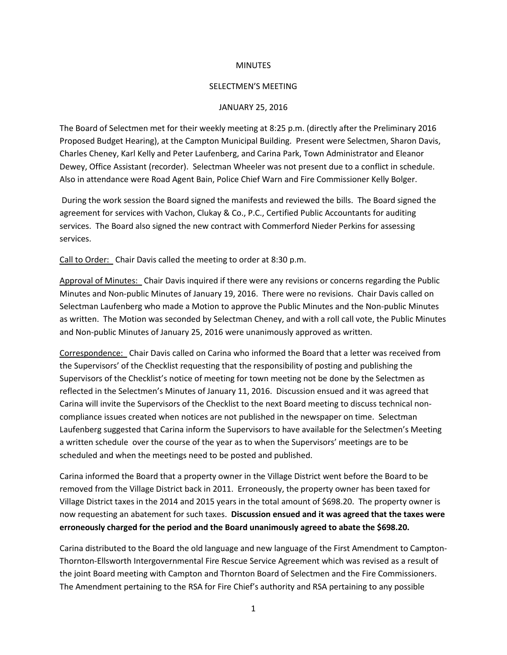## **MINUTES**

## SELECTMEN'S MEETING

## JANUARY 25, 2016

The Board of Selectmen met for their weekly meeting at 8:25 p.m. (directly after the Preliminary 2016 Proposed Budget Hearing), at the Campton Municipal Building. Present were Selectmen, Sharon Davis, Charles Cheney, Karl Kelly and Peter Laufenberg, and Carina Park, Town Administrator and Eleanor Dewey, Office Assistant (recorder). Selectman Wheeler was not present due to a conflict in schedule. Also in attendance were Road Agent Bain, Police Chief Warn and Fire Commissioner Kelly Bolger.

During the work session the Board signed the manifests and reviewed the bills. The Board signed the agreement for services with Vachon, Clukay & Co., P.C., Certified Public Accountants for auditing services. The Board also signed the new contract with Commerford Nieder Perkins for assessing services.

Call to Order: Chair Davis called the meeting to order at 8:30 p.m.

Approval of Minutes: Chair Davis inquired if there were any revisions or concerns regarding the Public Minutes and Non-public Minutes of January 19, 2016. There were no revisions. Chair Davis called on Selectman Laufenberg who made a Motion to approve the Public Minutes and the Non-public Minutes as written. The Motion was seconded by Selectman Cheney, and with a roll call vote, the Public Minutes and Non-public Minutes of January 25, 2016 were unanimously approved as written.

Correspondence: Chair Davis called on Carina who informed the Board that a letter was received from the Supervisors' of the Checklist requesting that the responsibility of posting and publishing the Supervisors of the Checklist's notice of meeting for town meeting not be done by the Selectmen as reflected in the Selectmen's Minutes of January 11, 2016. Discussion ensued and it was agreed that Carina will invite the Supervisors of the Checklist to the next Board meeting to discuss technical noncompliance issues created when notices are not published in the newspaper on time. Selectman Laufenberg suggested that Carina inform the Supervisors to have available for the Selectmen's Meeting a written schedule over the course of the year as to when the Supervisors' meetings are to be scheduled and when the meetings need to be posted and published.

Carina informed the Board that a property owner in the Village District went before the Board to be removed from the Village District back in 2011. Erroneously, the property owner has been taxed for Village District taxes in the 2014 and 2015 years in the total amount of \$698.20. The property owner is now requesting an abatement for such taxes. **Discussion ensued and it was agreed that the taxes were erroneously charged for the period and the Board unanimously agreed to abate the \$698.20.** 

Carina distributed to the Board the old language and new language of the First Amendment to Campton-Thornton-Ellsworth Intergovernmental Fire Rescue Service Agreement which was revised as a result of the joint Board meeting with Campton and Thornton Board of Selectmen and the Fire Commissioners. The Amendment pertaining to the RSA for Fire Chief's authority and RSA pertaining to any possible